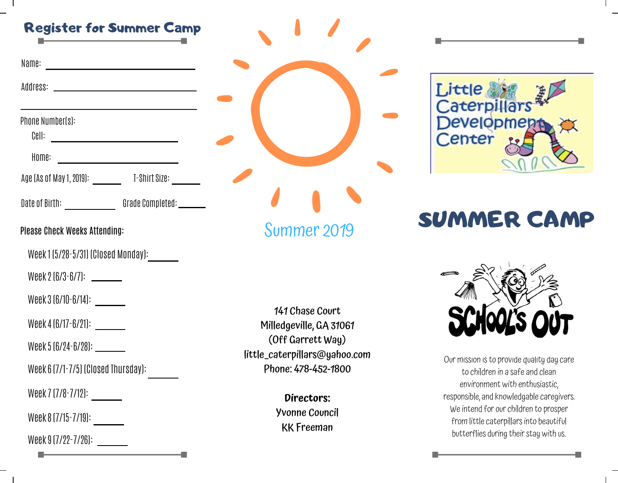# Register for Summer Camp

| Name: |  |
|-------|--|
|       |  |
|       |  |
|       |  |
|       |  |

Address:

Phone Number(s):

Cell:

Home:

Age (As of May 1, 2019): T-Shirt Size:

Date of Birth: \_\_\_\_\_\_\_\_\_\_\_\_\_\_\_\_\_\_Grade Completed: \_\_\_\_\_\_\_

### Please Check Weeks Attending:

Week 1 (5/28-5/31) (Closed Monday):

Week  $2 \left[ \frac{6}{3} - \frac{6}{7} \right]$ : \_\_\_\_\_\_\_

Week 3 (6/10-6/14):

Week 4 (6/17-6/21):

Week 5 (6/24-6/28):

Week 6 (7/1-7/5) (Closed Thursday):

 $T(T_{0} = 140)$ Week / (//8-7/12): \_\_\_\_\_\_\_

Week 8 (7/15-7/19): a brief or about section like this. Make sure to

 $0.17/99 - 7/96$ Week 9 (7/22-7/26):



Summer<sub>2019</sub>

141 Chase Court Milledgeville, GA 31061 (Off Garrett Way) little\_caterpillars@yahoo.com Phone: 478-452-1800

**Directors:** wenne eeenen<br>KK Freeman Yvonne Council



# $t_{\rm eff}$  the point by listing the name, price and brief and brief and brief and brief and brief and brief and brief and brief and brief and brief and brief and brief and brief and brief and brief and brief and brief and b SUMMER CAMP



Our mission is to provide quality day care to children in a safe and clean environment with enthusiastic, responsible, and knowledgable caregivers. We intend for our children to prosper from little caterpillars into beautiful butterflies during their stay with us.